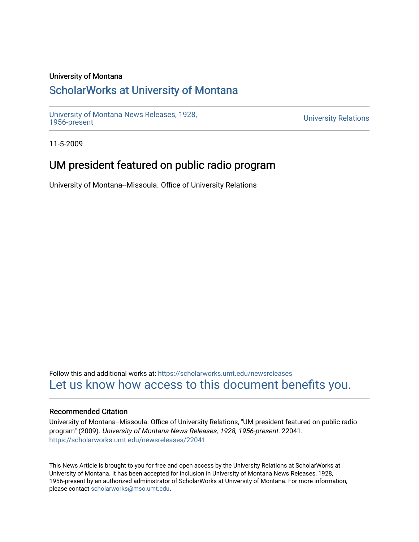### University of Montana

# [ScholarWorks at University of Montana](https://scholarworks.umt.edu/)

[University of Montana News Releases, 1928,](https://scholarworks.umt.edu/newsreleases) 

**University Relations** 

11-5-2009

# UM president featured on public radio program

University of Montana--Missoula. Office of University Relations

Follow this and additional works at: [https://scholarworks.umt.edu/newsreleases](https://scholarworks.umt.edu/newsreleases?utm_source=scholarworks.umt.edu%2Fnewsreleases%2F22041&utm_medium=PDF&utm_campaign=PDFCoverPages) [Let us know how access to this document benefits you.](https://goo.gl/forms/s2rGfXOLzz71qgsB2) 

#### Recommended Citation

University of Montana--Missoula. Office of University Relations, "UM president featured on public radio program" (2009). University of Montana News Releases, 1928, 1956-present. 22041. [https://scholarworks.umt.edu/newsreleases/22041](https://scholarworks.umt.edu/newsreleases/22041?utm_source=scholarworks.umt.edu%2Fnewsreleases%2F22041&utm_medium=PDF&utm_campaign=PDFCoverPages) 

This News Article is brought to you for free and open access by the University Relations at ScholarWorks at University of Montana. It has been accepted for inclusion in University of Montana News Releases, 1928, 1956-present by an authorized administrator of ScholarWorks at University of Montana. For more information, please contact [scholarworks@mso.umt.edu.](mailto:scholarworks@mso.umt.edu)